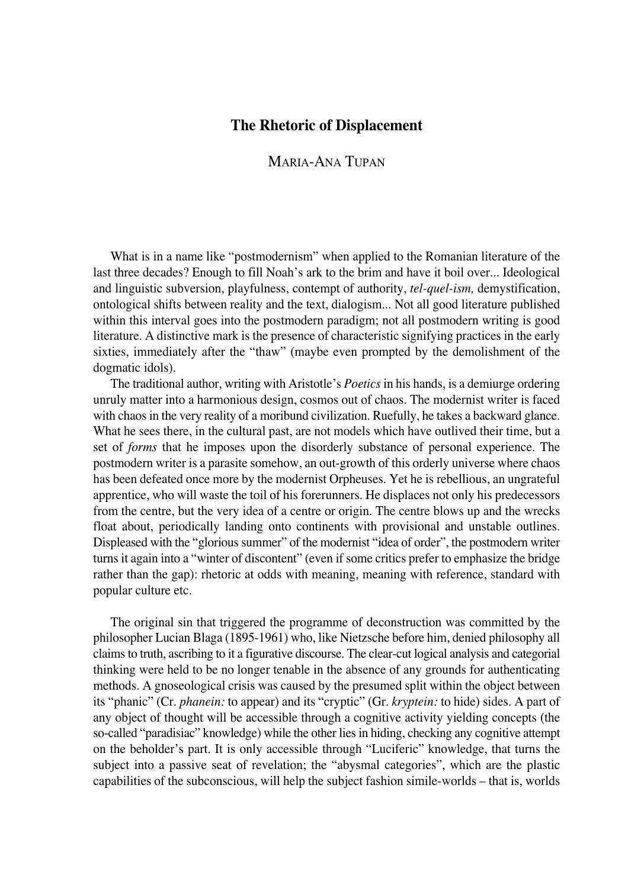## **The Rhetoric of Displacement**

## MARIA°ANA TUPAN

What is in a name like "postmodernism" when applied to the Romanian literature of the last three decades? Enough to fill Noah's ark to the brim and have it boil over... Ideological and linguistic subversion, playfulness, contempt of authority, *tel-quel-ism*, demystification, ontological shifts between reality and the text, dialogism... Not all good literature published within this interval goes into the postmodern paradigm; not all postmodern writing is good literature. A distinctive mark is the presence of characteristic signifying practices in the early sixties, immediately after the "thaw" (maybe even prompted by the demolishment of the dogmatic idols).

The traditional author, writing with Aristotle's *Poetics* in his hands, is a demiurge ordering unruly matter into a harmonious design, cosmos out of chaos. The modernist writer is faced with chaos in the very reality of a moribund civilization. Ruefully, he takes a backward glance. What he sees there, in the cultural past, are not models which have outlived their time, but a set of *forms* that he imposes upon the disorderly substance of personal experience. The postmodern writer is a parasite somehow, an out-growth of this orderly universe where chaos has been defeated once more by the modernist Orpheuses. Yet he is rebellious, an ungrateful apprentice, who will waste the toil of his forerunners. He displaces not only his predecessors from the centre, but the very idea of a centre or origin. The centre blows up and the wrecks float about, periodically landing onto continents with provisional and unstable outlines. Displeased with the "glorious summer" of the modernist "idea of order", the postmodern writer turns it again into a "winter of discontent" (even if some critics prefer to emphasize the bridge rather than the gap): rhetoric at odds with meaning, meaning with reference, standard with popular culture etc.

The original sin that triggered the programme of deconstruction was committed by the philosopher Lucian Blaga (1895°1961) who, like Nietzsche before him, denied philosophy all claims to truth, ascribing to it a figurative discourse. The clear-cut logical analysis and categorial thinking were held to be no longer tenable in the absence of any grounds for authenticating methods. A gnoseological crisis was caused by the presumed split within the object between its "phanic" (Cr. *phanein:* to appear) and its "cryptic" (Gr. *kryptein:* to hide) sides. A part of any object of thought will be accessible through a cognitive activity yielding concepts (the so°called "paradisiac" knowledge) while the other lies in hiding, checking any cognitive attempt on the beholder's part. It is only accessible through "Luciferic" knowledge, that turns the subject into a passive seat of revelation; the "abysmal categories", which are the plastic capabilities of the subconscious, will help the subject fashion simile-worlds – that is, worlds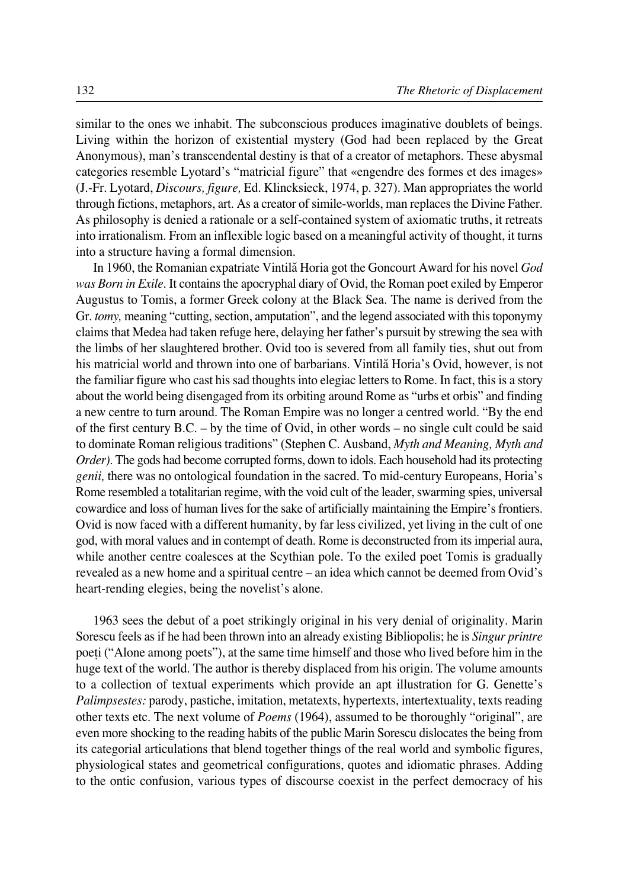similar to the ones we inhabit. The subconscious produces imaginative doublets of beings. Living within the horizon of existential mystery (God had been replaced by the Great Anonymous), man's transcendental destiny is that of a creator of metaphors. These abysmal categories resemble Lyotard's "matricial figure" that «engendre des formes et des images» (J.°Fr. Lyotard, *Discours, figure,* Ed. Klincksieck, 1974, p. 327). Man appropriates the world through fictions, metaphors, art. As a creator of simile°worlds, man replaces the Divine Father. As philosophy is denied a rationale or a self-contained system of axiomatic truths, it retreats into irrationalism. From an inflexible logic based on a meaningful activity of thought, it turns into a structure having a formal dimension.

In 1960, the Romanian expatriate Vintilæ Horia got the Goncourt Award for his novel *God was Born in Exile.* It contains the apocryphal diary of Ovid, the Roman poet exiled by Emperor Augustus to Tomis, a former Greek colony at the Black Sea. The name is derived from the Gr. *tomy,* meaning "cutting, section, amputation", and the legend associated with this toponymy claims that Medea had taken refuge here, delaying her father's pursuit by strewing the sea with the limbs of her slaughtered brother. Ovid too is severed from all family ties, shut out from his matricial world and thrown into one of barbarians. Vintilă Horia's Ovid, however, is not the familiar figure who cast his sad thoughts into elegiac letters to Rome. In fact, this is a story about the world being disengaged from its orbiting around Rome as "urbs et orbis" and finding a new centre to turn around. The Roman Empire was no longer a centred world. "By the end of the first century B.C. – by the time of Ovid, in other words – no single cult could be said to dominate Roman religious traditions" (Stephen C. Ausband, *Myth and Meaning, Myth and Order).* The gods had become corrupted forms, down to idols. Each household had its protecting *genii*, there was no ontological foundation in the sacred. To mid-century Europeans, Horia's Rome resembled a totalitarian regime, with the void cult of the leader, swarming spies, universal cowardice and loss of human lives for the sake of artificially maintaining the Empire's frontiers. Ovid is now faced with a different humanity, by far less civilized, yet living in the cult of one god, with moral values and in contempt of death. Rome is deconstructed from its imperial aura, while another centre coalesces at the Scythian pole. To the exiled poet Tomis is gradually revealed as a new home and a spiritual centre – an idea which cannot be deemed from Ovid's heart-rending elegies, being the novelist's alone.

1963 sees the debut of a poet strikingly original in his very denial of originality. Marin Sorescu feels as if he had been thrown into an already existing Bibliopolis; he is *Singur printre* poeți ("Alone among poets"), at the same time himself and those who lived before him in the huge text of the world. The author is thereby displaced from his origin. The volume amounts to a collection of textual experiments which provide an apt illustration for G. Genette's *Palimpsestes:* parody, pastiche, imitation, metatexts, hypertexts, intertextuality, texts reading other texts etc. The next volume of *Poems* (1964), assumed to be thoroughly "original", are even more shocking to the reading habits of the public Marin Sorescu dislocates the being from its categorial articulations that blend together things of the real world and symbolic figures, physiological states and geometrical configurations, quotes and idiomatic phrases. Adding to the ontic confusion, various types of discourse coexist in the perfect democracy of his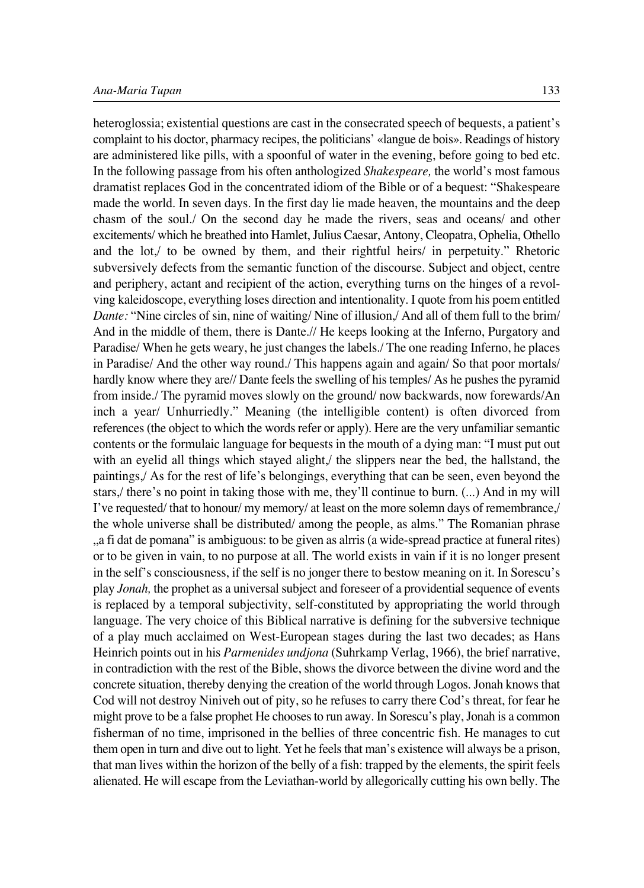heteroglossia; existential questions are cast in the consecrated speech of bequests, a patient's complaint to his doctor, pharmacy recipes, the politicians' «langue de bois». Readings of history are administered like pills, with a spoonful of water in the evening, before going to bed etc. In the following passage from his often anthologized *Shakespeare,* the world's most famous dramatist replaces God in the concentrated idiom of the Bible or of a bequest: "Shakespeare made the world. In seven days. In the first day lie made heaven, the mountains and the deep chasm of the soul./ On the second day he made the rivers, seas and oceans/ and other excitements/ which he breathed into Hamlet, Julius Caesar, Antony, Cleopatra, Ophelia, Othello and the lot,/ to be owned by them, and their rightful heirs/ in perpetuity." Rhetoric subversively defects from the semantic function of the discourse. Subject and object, centre and periphery, actant and recipient of the action, everything turns on the hinges of a revolving kaleidoscope, everything loses direction and intentionality. I quote from his poem entitled *Dante:* "Nine circles of sin, nine of waiting/ Nine of illusion,/ And all of them full to the brim/ And in the middle of them, there is Dante.// He keeps looking at the Inferno, Purgatory and Paradise/ When he gets weary, he just changes the labels./ The one reading Inferno, he places in Paradise/ And the other way round./ This happens again and again/ So that poor mortals/ hardly know where they are// Dante feels the swelling of his temples/ As he pushes the pyramid from inside./ The pyramid moves slowly on the ground/ now backwards, now forewards/An inch a year/ Unhurriedly." Meaning (the intelligible content) is often divorced from references (the object to which the words refer or apply). Here are the very unfamiliar semantic contents or the formulaic language for bequests in the mouth of a dying man: "I must put out with an eyelid all things which stayed alight,/ the slippers near the bed, the hallstand, the paintings,/ As for the rest of life's belongings, everything that can be seen, even beyond the stars,/ there's no point in taking those with me, they'll continue to burn. (...) And in my will I've requested/ that to honour/ my memory/ at least on the more solemn days of remembrance,/ the whole universe shall be distributed/ among the people, as alms." The Romanian phrase ", a fi dat de pomana" is ambiguous: to be given as alrris (a wide-spread practice at funeral rites) or to be given in vain, to no purpose at all. The world exists in vain if it is no longer present in the self's consciousness, if the self is no jonger there to bestow meaning on it. In Sorescu's play *Jonah,* the prophet as a universal subject and foreseer of a providential sequence of events is replaced by a temporal subjectivity, self-constituted by appropriating the world through language. The very choice of this Biblical narrative is defining for the subversive technique of a play much acclaimed on West-European stages during the last two decades; as Hans Heinrich points out in his *Parmenides undjona* (Suhrkamp Verlag, 1966), the brief narrative, in contradiction with the rest of the Bible, shows the divorce between the divine word and the concrete situation, thereby denying the creation of the world through Logos. Jonah knows that Cod will not destroy Niniveh out of pity, so he refuses to carry there Cod's threat, for fear he might prove to be a false prophet He chooses to run away. In Sorescu's play, Jonah is a common fisherman of no time, imprisoned in the bellies of three concentric fish. He manages to cut them open in turn and dive out to light. Yet he feels that man's existence will always be a prison, that man lives within the horizon of the belly of a fish: trapped by the elements, the spirit feels alienated. He will escape from the Leviathan-world by allegorically cutting his own belly. The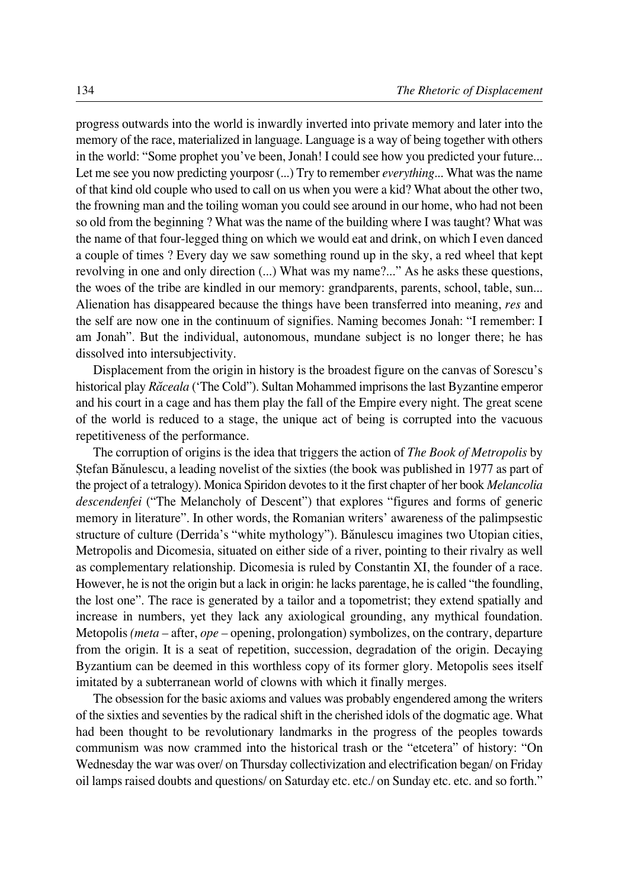progress outwards into the world is inwardly inverted into private memory and later into the memory of the race, materialized in language. Language is a way of being together with others in the world: "Some prophet you've been, Jonah! I could see how you predicted your future... Let me see you now predicting yourposr (...) Try to remember *everything...* What was the name of that kind old couple who used to call on us when you were a kid? What about the other two, the frowning man and the toiling woman you could see around in our home, who had not been so old from the beginning ? What was the name of the building where I was taught? What was the name of that four-legged thing on which we would eat and drink, on which I even danced a couple of times ? Every day we saw something round up in the sky, a red wheel that kept revolving in one and only direction (...) What was my name?..." As he asks these questions, the woes of the tribe are kindled in our memory: grandparents, parents, school, table, sun... Alienation has disappeared because the things have been transferred into meaning, *res* and the self are now one in the continuum of signifies. Naming becomes Jonah: "I remember: I am Jonah". But the individual, autonomous, mundane subject is no longer there; he has dissolved into intersubjectivity.

Displacement from the origin in history is the broadest figure on the canvas of Sorescu's historical play *Ræceala* ('The Cold"). Sultan Mohammed imprisons the last Byzantine emperor and his court in a cage and has them play the fall of the Empire every night. The great scene of the world is reduced to a stage, the unique act of being is corrupted into the vacuous repetitiveness of the performance.

The corruption of origins is the idea that triggers the action of *The Book of Metropolis* by Øtefan Bænulescu, a leading novelist of the sixties (the book was published in 1977 as part of the project of a tetralogy). Monica Spiridon devotes to it the first chapter of her book *Melancolia descendenfei* ("The Melancholy of Descent") that explores "figures and forms of generic memory in literature". In other words, the Romanian writers' awareness of the palimpsestic structure of culture (Derrida's "white mythology"). Bænulescu imagines two Utopian cities, Metropolis and Dicomesia, situated on either side of a river, pointing to their rivalry as well as complementary relationship. Dicomesia is ruled by Constantin XI, the founder of a race. However, he is not the origin but a lack in origin: he lacks parentage, he is called "the foundling, the lost one". The race is generated by a tailor and a topometrist; they extend spatially and increase in numbers, yet they lack any axiological grounding, any mythical foundation. Metopolis *(meta –* after, *ope –* opening, prolongation) symbolizes, on the contrary, departure from the origin. It is a seat of repetition, succession, degradation of the origin. Decaying Byzantium can be deemed in this worthless copy of its former glory. Metopolis sees itself imitated by a subterranean world of clowns with which it finally merges.

The obsession for the basic axioms and values was probably engendered among the writers of the sixties and seventies by the radical shift in the cherished idols of the dogmatic age. What had been thought to be revolutionary landmarks in the progress of the peoples towards communism was now crammed into the historical trash or the "etcetera" of history: "On Wednesday the war was over/ on Thursday collectivization and electrification began/ on Friday oil lamps raised doubts and questions/ on Saturday etc. etc./ on Sunday etc. etc. and so forth."